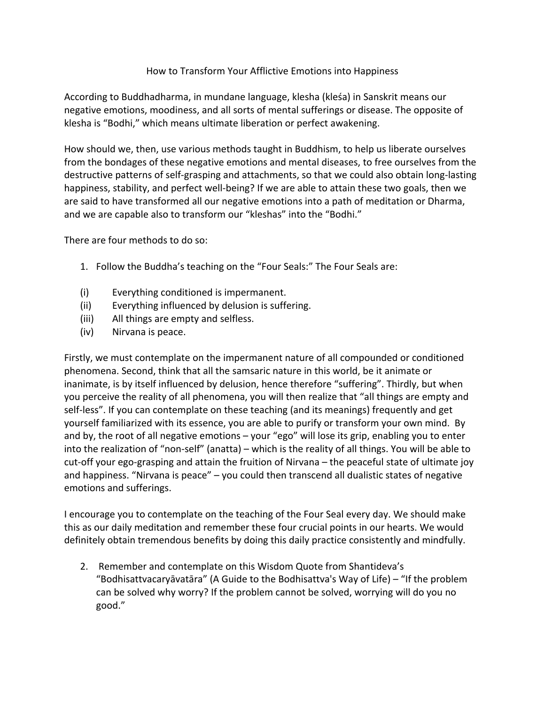## How to Transform Your Afflictive Emotions into Happiness

According to Buddhadharma, in mundane language, klesha (kleśa) in Sanskrit means our negative emotions, moodiness, and all sorts of mental sufferings or disease. The opposite of klesha is "Bodhi," which means ultimate liberation or perfect awakening.

How should we, then, use various methods taught in Buddhism, to help us liberate ourselves from the bondages of these negative emotions and mental diseases, to free ourselves from the destructive patterns of self-grasping and attachments, so that we could also obtain long-lasting happiness, stability, and perfect well-being? If we are able to attain these two goals, then we are said to have transformed all our negative emotions into a path of meditation or Dharma, and we are capable also to transform our "kleshas" into the "Bodhi."

There are four methods to do so:

- 1. Follow the Buddha's teaching on the "Four Seals:" The Four Seals are:
- (i) Everything conditioned is impermanent.
- (ii) Everything influenced by delusion is suffering.
- (iii) All things are empty and selfless.
- (iv) Nirvana is peace.

Firstly, we must contemplate on the impermanent nature of all compounded or conditioned phenomena. Second, think that all the samsaric nature in this world, be it animate or inanimate, is by itself influenced by delusion, hence therefore "suffering". Thirdly, but when you perceive the reality of all phenomena, you will then realize that "all things are empty and self-less". If you can contemplate on these teaching (and its meanings) frequently and get yourself familiarized with its essence, you are able to purify or transform your own mind. By and by, the root of all negative emotions – your "ego" will lose its grip, enabling you to enter into the realization of "non-self" (anatta) – which is the reality of all things. You will be able to cut-off your ego-grasping and attain the fruition of Nirvana – the peaceful state of ultimate joy and happiness. "Nirvana is peace" – you could then transcend all dualistic states of negative emotions and sufferings.

I encourage you to contemplate on the teaching of the Four Seal every day. We should make this as our daily meditation and remember these four crucial points in our hearts. We would definitely obtain tremendous benefits by doing this daily practice consistently and mindfully.

2. Remember and contemplate on this Wisdom Quote from Shantideva's "Bodhisattvacaryāvatāra" (A Guide to the Bodhisattva's Way of Life) – "If the problem can be solved why worry? If the problem cannot be solved, worrying will do you no good."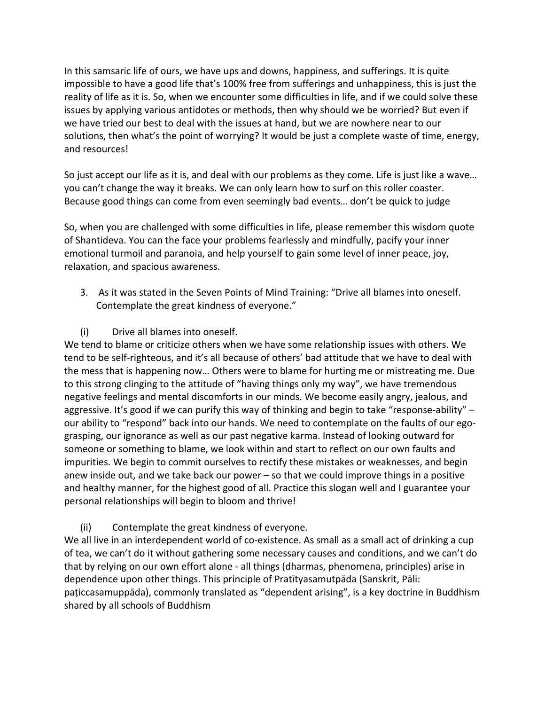In this samsaric life of ours, we have ups and downs, happiness, and sufferings. It is quite impossible to have a good life that's 100% free from sufferings and unhappiness, this is just the reality of life as it is. So, when we encounter some difficulties in life, and if we could solve these issues by applying various antidotes or methods, then why should we be worried? But even if we have tried our best to deal with the issues at hand, but we are nowhere near to our solutions, then what's the point of worrying? It would be just a complete waste of time, energy, and resources!

So just accept our life as it is, and deal with our problems as they come. Life is just like a wave… you can't change the way it breaks. We can only learn how to surf on this roller coaster. Because good things can come from even seemingly bad events… don't be quick to judge

So, when you are challenged with some difficulties in life, please remember this wisdom quote of Shantideva. You can the face your problems fearlessly and mindfully, pacify your inner emotional turmoil and paranoia, and help yourself to gain some level of inner peace, joy, relaxation, and spacious awareness.

- 3. As it was stated in the Seven Points of Mind Training: "Drive all blames into oneself. Contemplate the great kindness of everyone."
- (i) Drive all blames into oneself.

We tend to blame or criticize others when we have some relationship issues with others. We tend to be self-righteous, and it's all because of others' bad attitude that we have to deal with the mess that is happening now… Others were to blame for hurting me or mistreating me. Due to this strong clinging to the attitude of "having things only my way", we have tremendous negative feelings and mental discomforts in our minds. We become easily angry, jealous, and aggressive. It's good if we can purify this way of thinking and begin to take "response-ability" – our ability to "respond" back into our hands. We need to contemplate on the faults of our egograsping, our ignorance as well as our past negative karma. Instead of looking outward for someone or something to blame, we look within and start to reflect on our own faults and impurities. We begin to commit ourselves to rectify these mistakes or weaknesses, and begin anew inside out, and we take back our power – so that we could improve things in a positive and healthy manner, for the highest good of all. Practice this slogan well and I guarantee your personal relationships will begin to bloom and thrive!

(ii) Contemplate the great kindness of everyone.

We all live in an interdependent world of co-existence. As small as a small act of drinking a cup of tea, we can't do it without gathering some necessary causes and conditions, and we can't do that by relying on our own effort alone - all things (dharmas, phenomena, principles) arise in dependence upon other things. This principle of Pratītyasamutpāda (Sanskrit, Pāli: paṭiccasamuppāda), commonly translated as "dependent arising", is a key doctrine in Buddhism shared by all schools of Buddhism